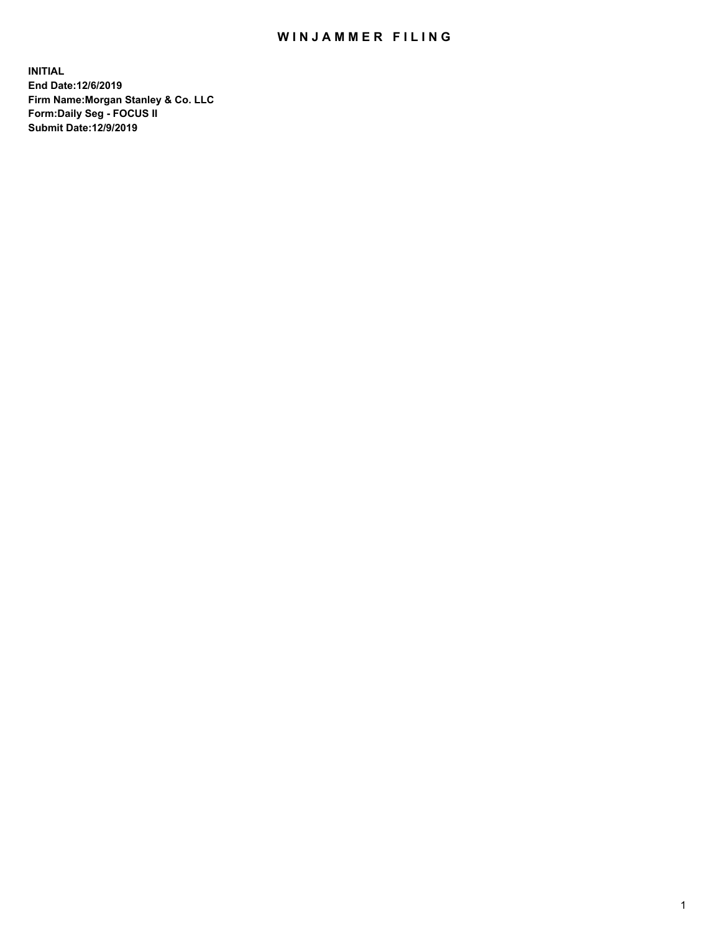## WIN JAMMER FILING

**INITIAL End Date:12/6/2019 Firm Name:Morgan Stanley & Co. LLC Form:Daily Seg - FOCUS II Submit Date:12/9/2019**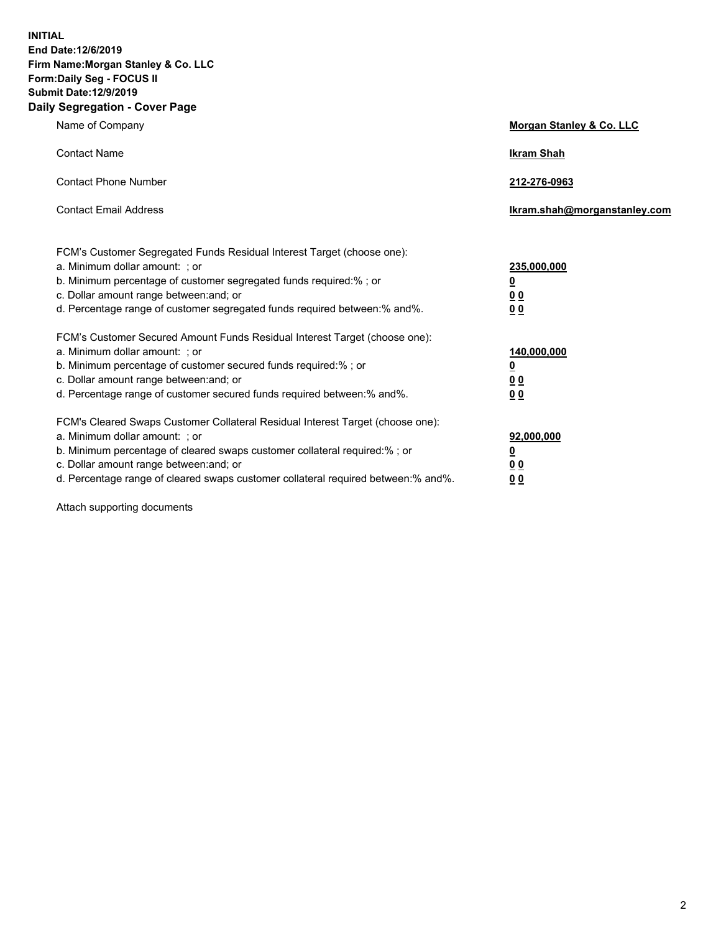**INITIAL End Date:12/6/2019 Firm Name:Morgan Stanley & Co. LLC Form:Daily Seg - FOCUS II Submit Date:12/9/2019 Daily Segregation - Cover Page**

| Name of Company                                                                                                                                                                                                                                                                                                                | Morgan Stanley & Co. LLC                                    |  |
|--------------------------------------------------------------------------------------------------------------------------------------------------------------------------------------------------------------------------------------------------------------------------------------------------------------------------------|-------------------------------------------------------------|--|
| <b>Contact Name</b>                                                                                                                                                                                                                                                                                                            | <b>Ikram Shah</b>                                           |  |
| <b>Contact Phone Number</b>                                                                                                                                                                                                                                                                                                    | 212-276-0963                                                |  |
| <b>Contact Email Address</b>                                                                                                                                                                                                                                                                                                   | lkram.shah@morganstanley.com                                |  |
| FCM's Customer Segregated Funds Residual Interest Target (choose one):<br>a. Minimum dollar amount: ; or<br>b. Minimum percentage of customer segregated funds required:% ; or<br>c. Dollar amount range between: and; or<br>d. Percentage range of customer segregated funds required between: % and %.                       | 235,000,000<br><u>0</u><br><u>00</u><br>0 <sup>0</sup>      |  |
| FCM's Customer Secured Amount Funds Residual Interest Target (choose one):<br>a. Minimum dollar amount: ; or<br>b. Minimum percentage of customer secured funds required:%; or<br>c. Dollar amount range between: and; or<br>d. Percentage range of customer secured funds required between:% and%.                            | 140,000,000<br><u>0</u><br>0 <sub>0</sub><br>0 <sub>0</sub> |  |
| FCM's Cleared Swaps Customer Collateral Residual Interest Target (choose one):<br>a. Minimum dollar amount: ; or<br>b. Minimum percentage of cleared swaps customer collateral required:% ; or<br>c. Dollar amount range between: and; or<br>d. Percentage range of cleared swaps customer collateral required between:% and%. | 92,000,000<br><u>0</u><br><u>00</u><br>0 <sup>0</sup>       |  |

Attach supporting documents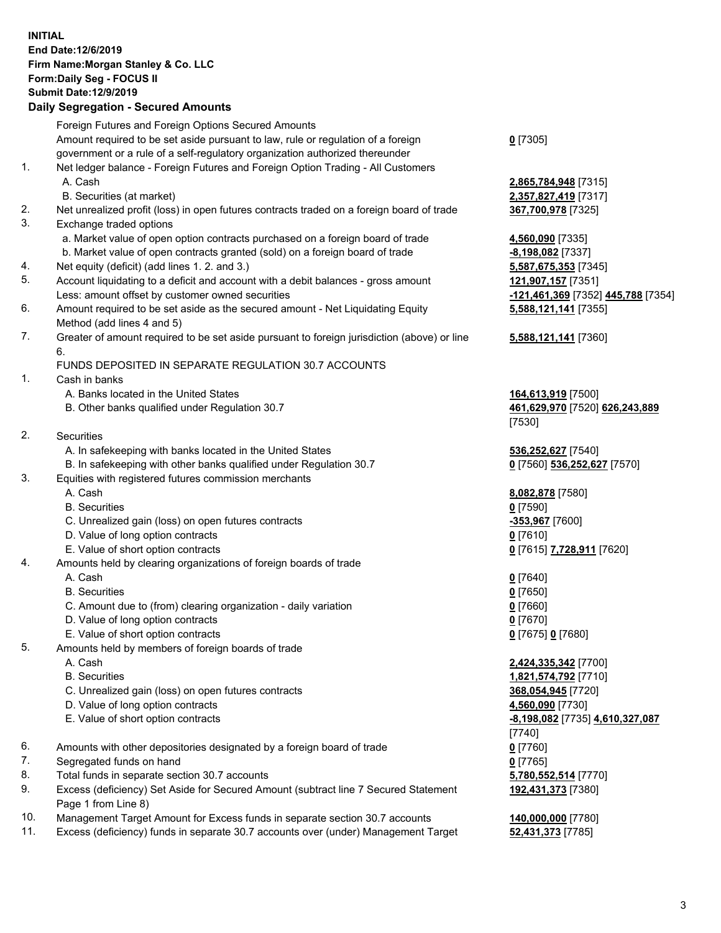## **INITIAL End Date:12/6/2019 Firm Name:Morgan Stanley & Co. LLC Form:Daily Seg - FOCUS II Submit Date:12/9/2019**

## **Daily Segregation - Secured Amounts**

|    | Foreign Futures and Foreign Options Secured Amounts                                         |                            |
|----|---------------------------------------------------------------------------------------------|----------------------------|
|    | Amount required to be set aside pursuant to law, rule or regulation of a foreign            | $0$ [7305]                 |
|    | government or a rule of a self-regulatory organization authorized thereunder                |                            |
| 1. | Net ledger balance - Foreign Futures and Foreign Option Trading - All Customers             |                            |
|    | A. Cash                                                                                     | 2,865,784,948 [731         |
|    | B. Securities (at market)                                                                   | 2,357,827,419 [731         |
| 2. | Net unrealized profit (loss) in open futures contracts traded on a foreign board of trade   | 367,700,978 [7325]         |
| 3. | Exchange traded options                                                                     |                            |
|    | a. Market value of open option contracts purchased on a foreign board of trade              | 4,560,090 [7335]           |
|    | b. Market value of open contracts granted (sold) on a foreign board of trade                | <b>-8,198,082</b> [7337]   |
| 4. | Net equity (deficit) (add lines 1.2. and 3.)                                                | 5,587,675,353 [734         |
| 5. | Account liquidating to a deficit and account with a debit balances - gross amount           | 121,907,157 [7351]         |
|    | Less: amount offset by customer owned securities                                            | -121,461,369 [7352         |
| 6. | Amount required to be set aside as the secured amount - Net Liquidating Equity              | 5,588,121,141 [735         |
|    | Method (add lines 4 and 5)                                                                  |                            |
| 7. | Greater of amount required to be set aside pursuant to foreign jurisdiction (above) or line | 5,588,121,141 [736         |
|    | 6.                                                                                          |                            |
|    | FUNDS DEPOSITED IN SEPARATE REGULATION 30.7 ACCOUNTS                                        |                            |
| 1. | Cash in banks                                                                               |                            |
|    | A. Banks located in the United States                                                       | 164,613,919 [7500]         |
|    | B. Other banks qualified under Regulation 30.7                                              | 461,629,970 [7520]         |
|    |                                                                                             | [7530]                     |
| 2. | Securities                                                                                  |                            |
|    | A. In safekeeping with banks located in the United States                                   | 536,252,627 [7540]         |
|    | B. In safekeeping with other banks qualified under Regulation 30.7                          | 0 [7560] 536,252,6         |
| 3. | Equities with registered futures commission merchants                                       |                            |
|    | A. Cash                                                                                     | 8,082,878 [7580]           |
|    | <b>B.</b> Securities                                                                        | $0$ [7590]                 |
|    | C. Unrealized gain (loss) on open futures contracts                                         | -353,967 [7600]            |
|    | D. Value of long option contracts                                                           | $0$ [7610]                 |
|    | E. Value of short option contracts                                                          | 0 [7615] 7,728,911         |
| 4. | Amounts held by clearing organizations of foreign boards of trade                           |                            |
|    | A. Cash                                                                                     | $0$ [7640]                 |
|    | <b>B.</b> Securities                                                                        | $0$ [7650]                 |
|    | C. Amount due to (from) clearing organization - daily variation                             | $0$ [7660]                 |
|    | D. Value of long option contracts                                                           | $0$ [7670]                 |
|    | E. Value of short option contracts                                                          | 0 [7675] 0 [7680]          |
| 5. | Amounts held by members of foreign boards of trade                                          |                            |
|    | A. Cash                                                                                     | 2,424,335,342 [770         |
|    | <b>B.</b> Securities                                                                        | 1,821,574,792 [771         |
|    | C. Unrealized gain (loss) on open futures contracts                                         | 368,054,945 [7720]         |
|    | D. Value of long option contracts                                                           | 4,560,090 [7730]           |
|    | E. Value of short option contracts                                                          | <u>-8,198,082</u> [7735] 4 |
|    |                                                                                             | [7740]                     |
| 6. | Amounts with other depositories designated by a foreign board of trade                      | $0$ [7760]                 |
| 7. | Segregated funds on hand                                                                    | $0$ [7765]                 |
| 8. | Total funds in separate section 30.7 accounts                                               | 5,780,552,514 [777         |
| 9. | Excess (deficiency) Set Aside for Secured Amount (subtract line 7 Secured Statement         | 192,431,373 [7380]         |
|    | Page 1 from Line 8)                                                                         |                            |

- 10. Management Target Amount for Excess funds in separate section 30.7 accounts **140,000,000** [7780]
- 11. Excess (deficiency) funds in separate 30.7 accounts over (under) Management Target **52,431,373** [7785]

84,948 [7315] B. Securities (at market) **2,357,827,419** [7317]

75,353 [7345] Less: amount offset by customer owned securities **-121,461,369** [7352] **445,788** [7354] **5,588,121,141** [7355]

## **5,588,121,141** [7360]

B. Other banks qualified under Regulation 30.7 **461,629,970** [7520] **626,243,889**

 $536,252,627$  [7570]

E. Value of short option contracts **0** [7615] **7,728,911** [7620]

**85,342** [7700] B. Securities **1,821,574,792** [7710] E. Value of short option contracts **-8,198,082** [7735] **4,610,327,087 82,514** [7770] **192,431,373** [7380]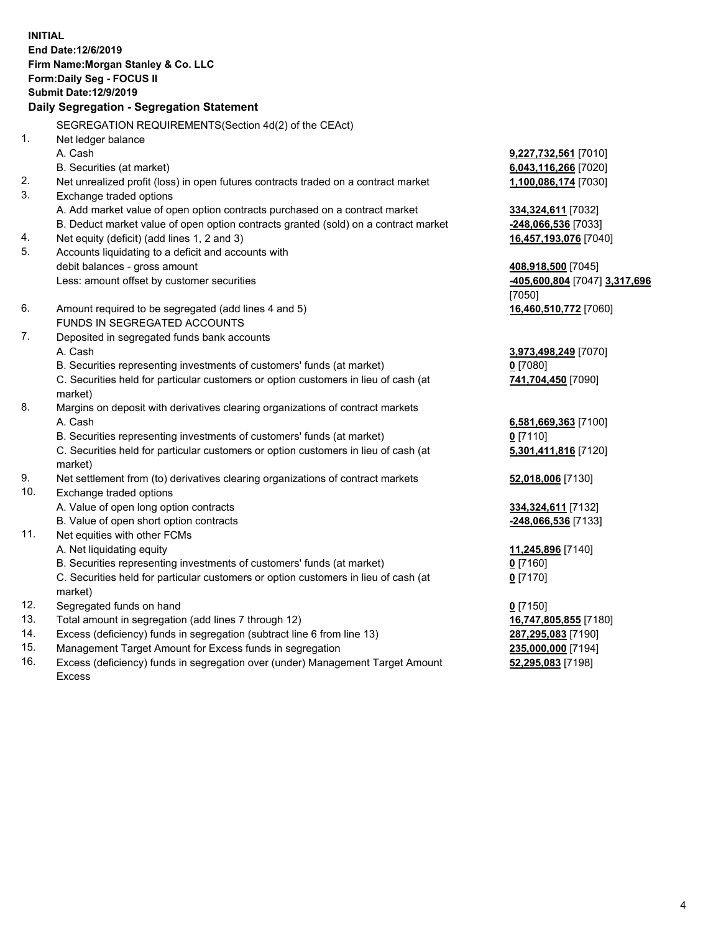**INITIAL End Date:12/6/2019 Firm Name:Morgan Stanley & Co. LLC Form:Daily Seg - FOCUS II Submit Date:12/9/2019 Daily Segregation - Segregation Statement** SEGREGATION REQUIREMENTS(Section 4d(2) of the CEAct) 1. Net ledger balance A. Cash **9,227,732,561** [7010] B. Securities (at market) **6,043,116,266** [7020] 2. Net unrealized profit (loss) in open futures contracts traded on a contract market **1,100,086,174** [7030] 3. Exchange traded options A. Add market value of open option contracts purchased on a contract market **334,324,611** [7032] B. Deduct market value of open option contracts granted (sold) on a contract market **-248,066,536** [7033] 4. Net equity (deficit) (add lines 1, 2 and 3) **16,457,193,076** [7040] 5. Accounts liquidating to a deficit and accounts with debit balances - gross amount **408,918,500** [7045] Less: amount offset by customer securities **-405,600,804** [7047] **3,317,696** [7050] 6. Amount required to be segregated (add lines 4 and 5) **16,460,510,772** [7060] FUNDS IN SEGREGATED ACCOUNTS 7. Deposited in segregated funds bank accounts A. Cash **3,973,498,249** [7070] B. Securities representing investments of customers' funds (at market) **0** [7080] C. Securities held for particular customers or option customers in lieu of cash (at market) **741,704,450** [7090] 8. Margins on deposit with derivatives clearing organizations of contract markets A. Cash **6,581,669,363** [7100] B. Securities representing investments of customers' funds (at market) **0** [7110] C. Securities held for particular customers or option customers in lieu of cash (at market) **5,301,411,816** [7120] 9. Net settlement from (to) derivatives clearing organizations of contract markets **52,018,006** [7130] 10. Exchange traded options A. Value of open long option contracts **334,324,611** [7132] B. Value of open short option contracts **-248,066,536** [7133] 11. Net equities with other FCMs A. Net liquidating equity **11,245,896** [7140] B. Securities representing investments of customers' funds (at market) **0** [7160] C. Securities held for particular customers or option customers in lieu of cash (at market) **0** [7170] 12. Segregated funds on hand **0** [7150] 13. Total amount in segregation (add lines 7 through 12) **16,747,805,855** [7180] 14. Excess (deficiency) funds in segregation (subtract line 6 from line 13) **287,295,083** [7190]

- 15. Management Target Amount for Excess funds in segregation **235,000,000** [7194]
- 16. Excess (deficiency) funds in segregation over (under) Management Target Amount Excess

**52,295,083** [7198]